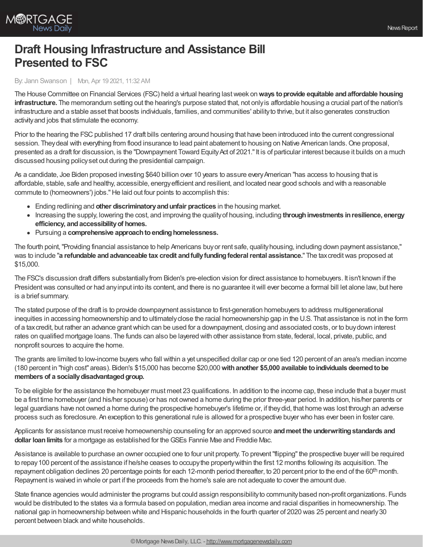

## **Draft Housing Infrastructure and Assistance Bill Presented to FSC**

## By: Jann Swanson | Mon, Apr 19 2021, 11:32 AM

The House Committee on Financial Services (FSC) held a virtual hearing lastweek on**ways toprovide equitable andaffordable housing infrastructure.** The memorandum setting out the hearing's purpose stated that, not onlyis affordable housing a crucial part of the nation's infrastructure and a stable asset that boosts individuals, families, and communities' abilityto thrive, but it also generates construction activityand jobs that stimulate the economy.

Prior to the hearing the FSC published 17 draft bills centering around housing that have been introduced into the current congressional session. They deal with everything from flood insurance to lead paint abatement to housing on Native American lands. One proposal, presented as a draft for discussion, is the "Downpayment Toward Equity Act of 2021." It is of particular interest because it builds on a much discussed housing policyset out during the presidential campaign.

As a candidate, Joe Biden proposed investing \$640 billion over 10 years to assure every American "has access to housing that is affordable, stable, safe and healthy, accessible, energyefficient and resilient, and located near good schools and with a reasonable commute to (homeowners') jobs."He laid out four points to accomplish this:

- Ending redlining and **other discriminatoryandunfair practices** in the housing market.
- Increasing the supply, lowering the cost, and improving the qualityof housing, including **throughinvestments inresilience, energy efficiency, andaccessibilityof homes.**
- Pursuing a **comprehensive approachtoendinghomelessness.**

The fourth point,"Providing financial assistance to help Americans buyor rent safe, qualityhousing, including down payment assistance," was to include "**a refundable andadvanceable tax credit andfullyfundingfederalrental assistance.**" The taxcreditwas proposed at \$15,000.

The FSC's discussion draft differs substantiallyfrom Biden's pre-election vision for direct assistance to homebuyers. It isn't known if the President was consulted or had any input into its content, and there is no guarantee it will ever become a formal bill let alone law, but here is a brief summary.

The stated purpose of the draft is to provide downpayment assistance to first-generation homebuyers to address multigenerational inequities in accessing homeownership and to ultimately close the racial homeownership gap in the U.S. That assistance is not in the form of a taxcredit, but rather an advance grantwhich can be used for a downpayment, closing and associated costs, or to buydown interest rates on qualified mortgage loans. The funds can also be layered with other assistance from state, federal, local, private, public, and nonprofit sources to acquire the home.

The grants are limited to low-income buyers who fall within a yet unspecified dollar cap or one tied 120 percent of an area's median income (180 percent in "high cost" areas). Biden's \$15,000 has become \$20,000**withanother \$5,000 available toindividuals deemedtobe members of a sociallydisadvantagedgroup.**

To be eligible for the assistance the homebuyer must meet 23 qualifications. In addition to the income cap, these include that a buyer must be a first time homebuyer (and his/her spouse) or has not owned a home during the prior three-year period. In addition, his/her parents or legal guardians have not owned a home during the prospective homebuyer's lifetime or, if theydid, that home was lost through an adverse process such as foreclosure. An exception to this generational rule is allowed for a prospective buyer who has ever been in foster care.

Applicants for assistance must receive homeownership counseling for an approved source **andmeet the underwritingstandards and dollar loanlimits** for a mortgage as established for theGSEs Fannie Mae and Freddie Mac.

Assistance is available to purchase an owner occupied one to four unit property. To prevent "flipping" the prospective buyer will be required to repay100 percent of the assistance if he/she ceases to occupythe propertywithin the first 12 months following its acquisition. The repayment obligation declines 20 percentage points for each 12-month period thereafter, to 20 percent prior to the end of the 60<sup>th</sup> month. Repayment is waived in whole or part if the proceeds from the home's sale are not adequate to cover the amount due.

State finance agencies would administer the programs but could assign responsibilityto communitybased non-profit organizations. Funds would be distributed to the states via a formula based on population, median area income and racial disparities in homeownership. The national gap in homeownership between white and Hispanic households in the fourth quarter of 2020 was 25 percent and nearly30 percent between black and white households.